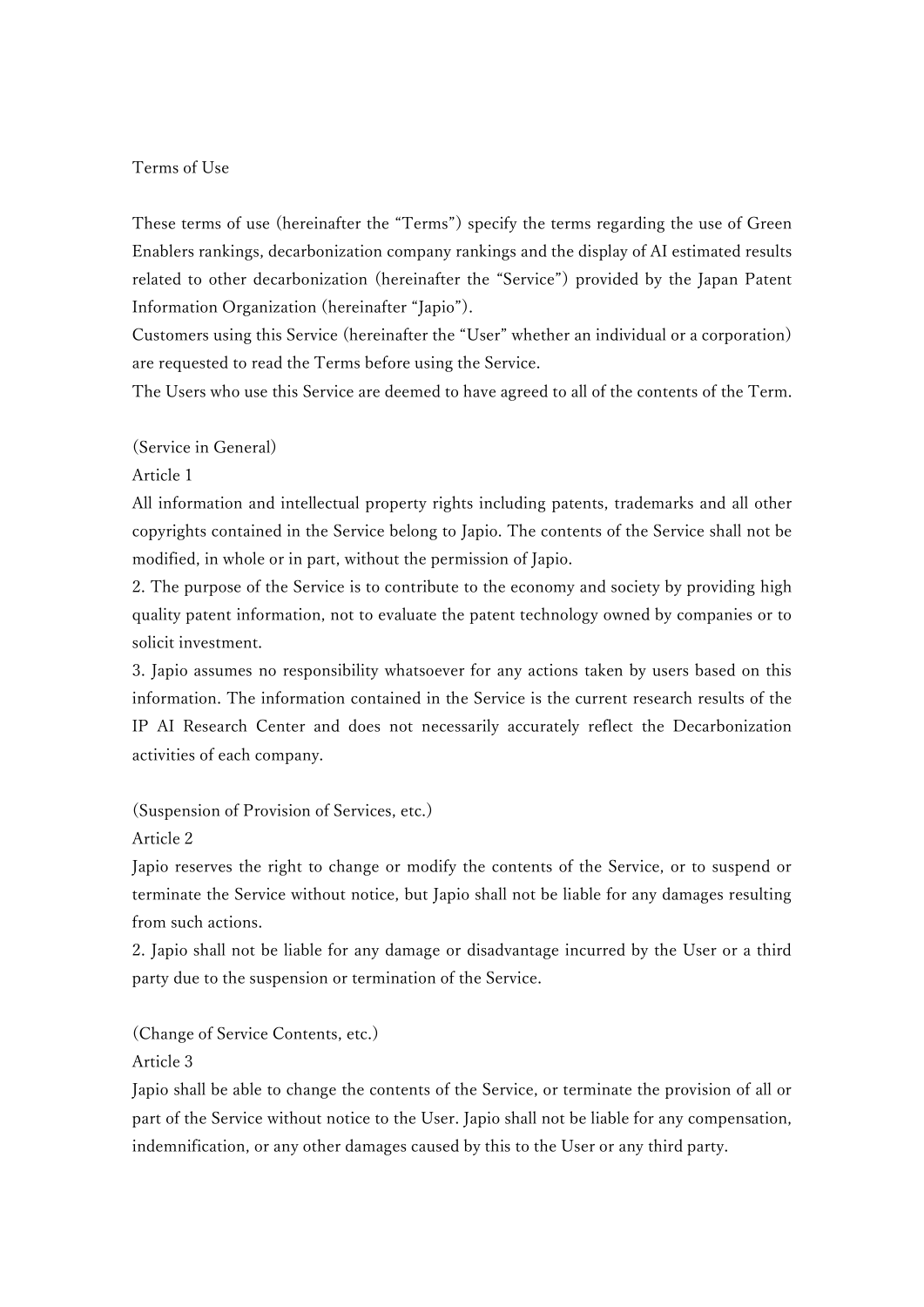## Terms of Use

These terms of use (hereinafter the "Terms") specify the terms regarding the use of Green Enablers rankings, decarbonization company rankings and the display of AI estimated results related to other decarbonization (hereinafter the "Service") provided by the Japan Patent Information Organization (hereinafter "Japio").

Customers using this Service (hereinafter the "User" whether an individual or a corporation) are requested to read the Terms before using the Service.

The Users who use this Service are deemed to have agreed to all of the contents of the Term.

(Service in General)

Article 1

All information and intellectual property rights including patents, trademarks and all other copyrights contained in the Service belong to Japio. The contents of the Service shall not be modified, in whole or in part, without the permission of Japio.

2. The purpose of the Service is to contribute to the economy and society by providing high quality patent information, not to evaluate the patent technology owned by companies or to solicit investment.

3. Japio assumes no responsibility whatsoever for any actions taken by users based on this information. The information contained in the Service is the current research results of the IP AI Research Center and does not necessarily accurately reflect the Decarbonization activities of each company.

(Suspension of Provision of Services, etc.)

Article 2

Japio reserves the right to change or modify the contents of the Service, or to suspend or terminate the Service without notice, but Japio shall not be liable for any damages resulting from such actions.

2. Japio shall not be liable for any damage or disadvantage incurred by the User or a third party due to the suspension or termination of the Service.

(Change of Service Contents, etc.)

Article 3

Japio shall be able to change the contents of the Service, or terminate the provision of all or part of the Service without notice to the User. Japio shall not be liable for any compensation, indemnification, or any other damages caused by this to the User or any third party.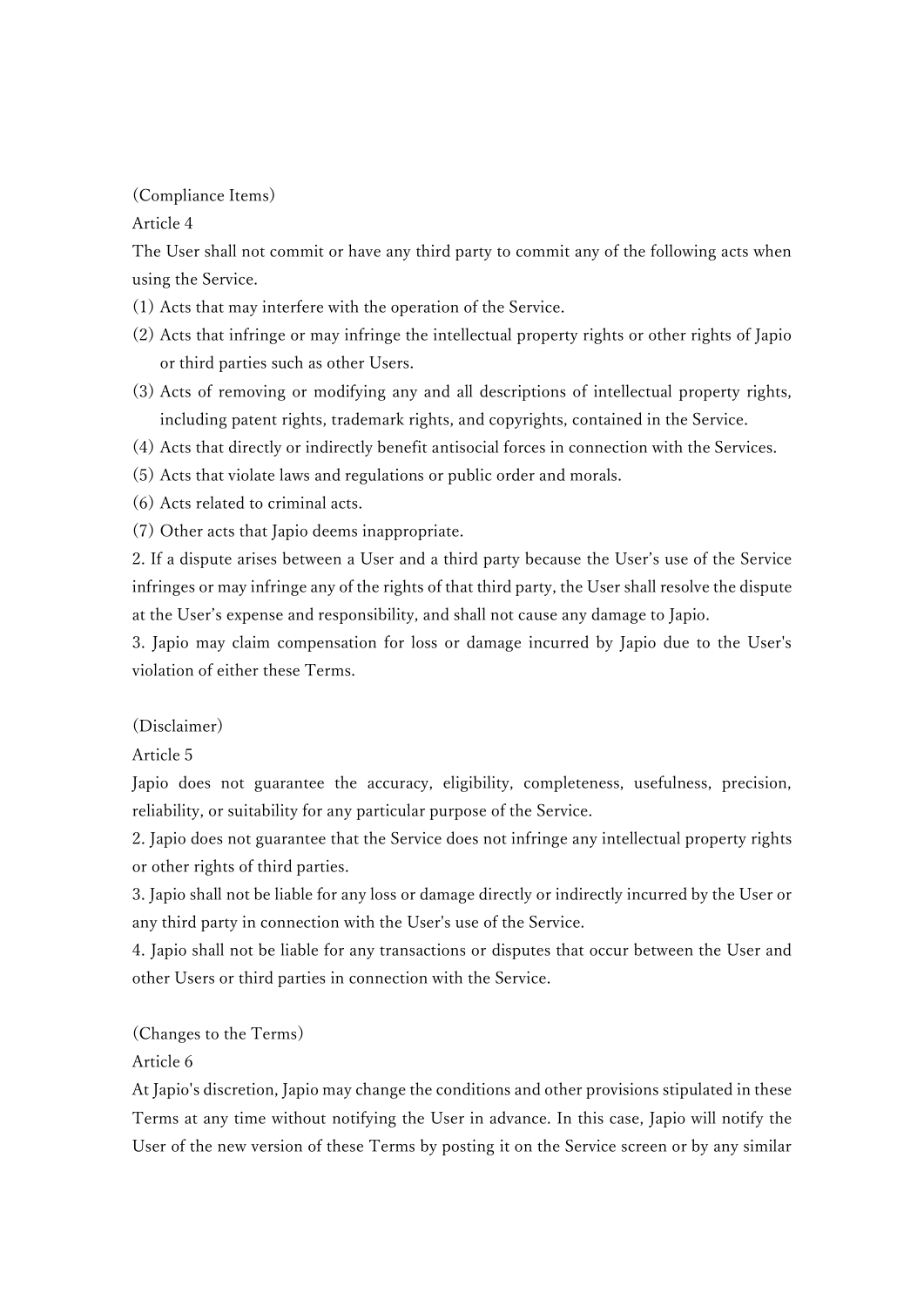## (Compliance Items)

Article 4

The User shall not commit or have any third party to commit any of the following acts when using the Service.

- (1) Acts that may interfere with the operation of the Service.
- (2) Acts that infringe or may infringe the intellectual property rights or other rights of Japio or third parties such as other Users.
- (3) Acts of removing or modifying any and all descriptions of intellectual property rights, including patent rights, trademark rights, and copyrights, contained in the Service.
- (4) Acts that directly or indirectly benefit antisocial forces in connection with the Services.
- (5) Acts that violate laws and regulations or public order and morals.
- (6) Acts related to criminal acts.
- (7) Other acts that Japio deems inappropriate.

2. If a dispute arises between a User and a third party because the User's use of the Service infringes or may infringe any of the rights of that third party, the User shall resolve the dispute at the User's expense and responsibility, and shall not cause any damage to Japio.

3. Japio may claim compensation for loss or damage incurred by Japio due to the User's violation of either these Terms.

## (Disclaimer)

Article 5

Japio does not guarantee the accuracy, eligibility, completeness, usefulness, precision, reliability, or suitability for any particular purpose of the Service.

2. Japio does not guarantee that the Service does not infringe any intellectual property rights or other rights of third parties.

3. Japio shall not be liable for any loss or damage directly or indirectly incurred by the User or any third party in connection with the User's use of the Service.

4. Japio shall not be liable for any transactions or disputes that occur between the User and other Users or third parties in connection with the Service.

## (Changes to the Terms)

Article 6

At Japio's discretion, Japio may change the conditions and other provisions stipulated in these Terms at any time without notifying the User in advance. In this case, Japio will notify the User of the new version of these Terms by posting it on the Service screen or by any similar